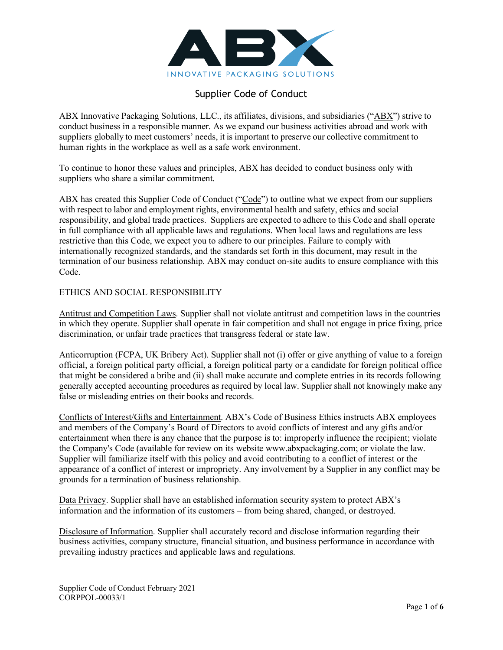

# Supplier Code of Conduct

ABX Innovative Packaging Solutions, LLC., its affiliates, divisions, and subsidiaries ("ABX") strive to conduct business in a responsible manner. As we expand our business activities abroad and work with suppliers globally to meet customers' needs, it is important to preserve our collective commitment to human rights in the workplace as well as a safe work environment.

To continue to honor these values and principles, ABX has decided to conduct business only with suppliers who share a similar commitment.

ABX has created this Supplier Code of Conduct ("Code") to outline what we expect from our suppliers with respect to labor and employment rights, environmental health and safety, ethics and social responsibility, and global trade practices. Suppliers are expected to adhere to this Code and shall operate in full compliance with all applicable laws and regulations. When local laws and regulations are less restrictive than this Code, we expect you to adhere to our principles. Failure to comply with internationally recognized standards, and the standards set forth in this document, may result in the termination of our business relationship. ABX may conduct on-site audits to ensure compliance with this Code.

## ETHICS AND SOCIAL RESPONSIBILITY

Antitrust and Competition Laws. Supplier shall not violate antitrust and competition laws in the countries in which they operate. Supplier shall operate in fair competition and shall not engage in price fixing, price discrimination, or unfair trade practices that transgress federal or state law.

Anticorruption (FCPA, UK Bribery Act). Supplier shall not (i) offer or give anything of value to a foreign official, a foreign political party official, a foreign political party or a candidate for foreign political office that might be considered a bribe and (ii) shall make accurate and complete entries in its records following generally accepted accounting procedures as required by local law. Supplier shall not knowingly make any false or misleading entries on their books and records.

Conflicts of Interest/Gifts and Entertainment. ABX's Code of Business Ethics instructs ABX employees and members of the Company's Board of Directors to avoid conflicts of interest and any gifts and/or entertainment when there is any chance that the purpose is to: improperly influence the recipient; violate the Company's Code (available for review on its website www.abxpackaging.com; or violate the law. Supplier will familiarize itself with this policy and avoid contributing to a conflict of interest or the appearance of a conflict of interest or impropriety. Any involvement by a Supplier in any conflict may be grounds for a termination of business relationship.

Data Privacy. Supplier shall have an established information security system to protect ABX's information and the information of its customers – from being shared, changed, or destroyed.

Disclosure of Information. Supplier shall accurately record and disclose information regarding their business activities, company structure, financial situation, and business performance in accordance with prevailing industry practices and applicable laws and regulations.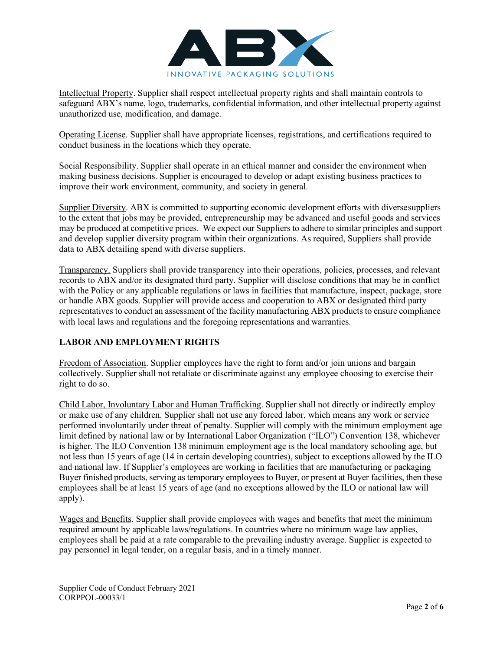

Intellectual Property. Supplier shall respect intellectual property rights and shall maintain controls to safeguard ABX's name, logo, trademarks, confidential information, and other intellectual property against unauthorized use, modification, and damage.

Operating License. Supplier shall have appropriate licenses, registrations, and certifications required to conduct business in the locations which they operate.

Social Responsibility. Supplier shall operate in an ethical manner and consider the environment when making business decisions. Supplier is encouraged to develop or adapt existing business practices to improve their work environment, community, and society in general.

Supplier Diversity. ABX is committed to supporting economic development efforts with diversesuppliers to the extent that jobs may be provided, entrepreneurship may be advanced and useful goods and services may be produced at competitive prices. We expect our Suppliers to adhere to similar principles and support and develop supplier diversity program within their organizations. As required, Suppliers shall provide data to ABX detailing spend with diverse suppliers.

Transparency. Suppliers shall provide transparency into their operations, policies, processes, and relevant records to ABX and/or its designated third party. Supplier will disclose conditions that may be in conflict with the Policy or any applicable regulations or laws in facilities that manufacture, inspect, package, store or handle ABX goods. Supplier will provide access and cooperation to ABX or designated third party representatives to conduct an assessment of the facility manufacturing ABX products to ensure compliance with local laws and regulations and the foregoing representations and warranties.

# **LABOR AND EMPLOYMENT RIGHTS**

Freedom of Association. Supplier employees have the right to form and/or join unions and bargain collectively. Supplier shall not retaliate or discriminate against any employee choosing to exercise their right to do so.

Child Labor, Involuntary Labor and Human Trafficking. Supplier shall not directly or indirectly employ or make use of any children. Supplier shall not use any forced labor, which means any work or service performed involuntarily under threat of penalty. Supplier will comply with the minimum employment age limit defined by national law or by International Labor Organization ("ILO") Convention 138, whichever is higher. The ILO Convention 138 minimum employment age is the local mandatory schooling age, but not less than 15 years of age (14 in certain developing countries), subject to exceptions allowed by the ILO and national law. If Supplier's employees are working in facilities that are manufacturing or packaging Buyer finished products, serving as temporary employees to Buyer, or present at Buyer facilities, then these employees shall be at least 15 years of age (and no exceptions allowed by the ILO or national law will apply).

Wages and Benefits. Supplier shall provide employees with wages and benefits that meet the minimum required amount by applicable laws/regulations. In countries where no minimum wage law applies, employees shall be paid at a rate comparable to the prevailing industry average. Supplier is expected to pay personnel in legal tender, on a regular basis, and in a timely manner.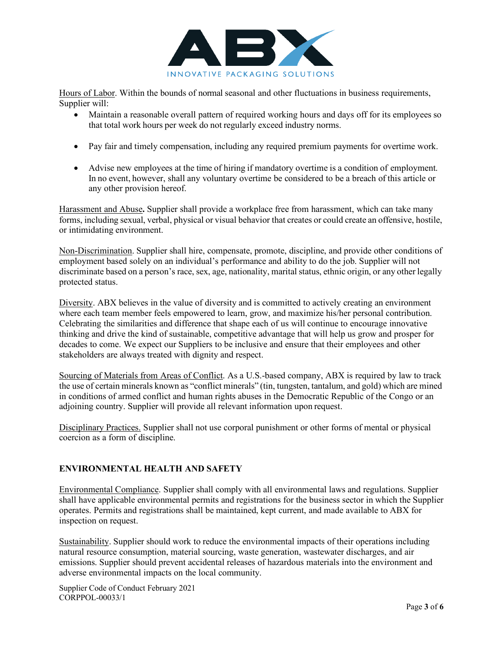

Hours of Labor. Within the bounds of normal seasonal and other fluctuations in business requirements, Supplier will:

- Maintain a reasonable overall pattern of required working hours and days off for its employees so that total work hours per week do not regularly exceed industry norms.
- Pay fair and timely compensation, including any required premium payments for overtime work.
- Advise new employees at the time of hiring if mandatory overtime is a condition of employment. In no event, however, shall any voluntary overtime be considered to be a breach of this article or any other provision hereof.

Harassment and Abuse**.** Supplier shall provide a workplace free from harassment, which can take many forms, including sexual, verbal, physical or visual behavior that creates or could create an offensive, hostile, or intimidating environment.

Non-Discrimination. Supplier shall hire, compensate, promote, discipline, and provide other conditions of employment based solely on an individual's performance and ability to do the job. Supplier will not discriminate based on a person's race, sex, age, nationality, marital status, ethnic origin, or any other legally protected status.

Diversity. ABX believes in the value of diversity and is committed to actively creating an environment where each team member feels empowered to learn, grow, and maximize his/her personal contribution. Celebrating the similarities and difference that shape each of us will continue to encourage innovative thinking and drive the kind of sustainable, competitive advantage that will help us grow and prosper for decades to come. We expect our Suppliers to be inclusive and ensure that their employees and other stakeholders are always treated with dignity and respect.

Sourcing of Materials from Areas of Conflict. As a U.S.-based company, ABX is required by law to track the use of certain minerals known as "conflict minerals" (tin, tungsten, tantalum, and gold) which are mined in conditions of armed conflict and human rights abuses in the Democratic Republic of the Congo or an adjoining country. Supplier will provide all relevant information upon request.

Disciplinary Practices. Supplier shall not use corporal punishment or other forms of mental or physical coercion as a form of discipline.

## **ENVIRONMENTAL HEALTH AND SAFETY**

Environmental Compliance. Supplier shall comply with all environmental laws and regulations. Supplier shall have applicable environmental permits and registrations for the business sector in which the Supplier operates. Permits and registrations shall be maintained, kept current, and made available to ABX for inspection on request.

Sustainability. Supplier should work to reduce the environmental impacts of their operations including natural resource consumption, material sourcing, waste generation, wastewater discharges, and air emissions. Supplier should prevent accidental releases of hazardous materials into the environment and adverse environmental impacts on the local community.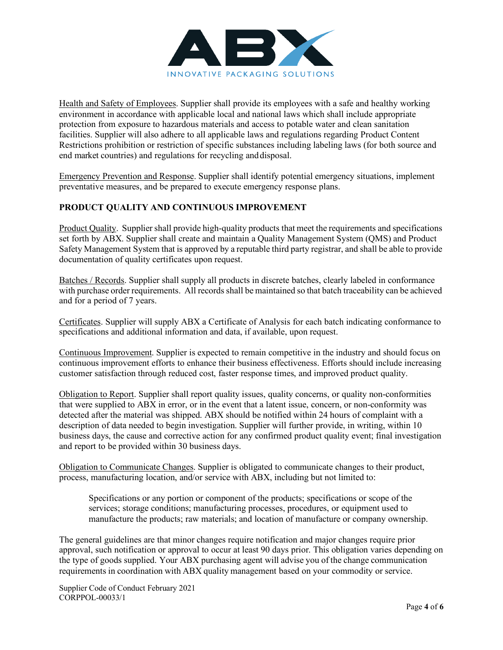

Health and Safety of Employees. Supplier shall provide its employees with a safe and healthy working environment in accordance with applicable local and national laws which shall include appropriate protection from exposure to hazardous materials and access to potable water and clean sanitation facilities. Supplier will also adhere to all applicable laws and regulations regarding Product Content Restrictions prohibition or restriction of specific substances including labeling laws (for both source and end market countries) and regulations for recycling anddisposal.

Emergency Prevention and Response. Supplier shall identify potential emergency situations, implement preventative measures, and be prepared to execute emergency response plans.

# **PRODUCT QUALITY AND CONTINUOUS IMPROVEMENT**

Product Quality. Supplier shall provide high-quality products that meet the requirements and specifications set forth by ABX. Supplier shall create and maintain a Quality Management System (QMS) and Product Safety Management System that is approved by a reputable third party registrar, and shall be able to provide documentation of quality certificates upon request.

Batches / Records. Supplier shall supply all products in discrete batches, clearly labeled in conformance with purchase order requirements. All records shall be maintained so that batch traceability can be achieved and for a period of 7 years.

Certificates. Supplier will supply ABX a Certificate of Analysis for each batch indicating conformance to specifications and additional information and data, if available, upon request.

Continuous Improvement. Supplier is expected to remain competitive in the industry and should focus on continuous improvement efforts to enhance their business effectiveness. Efforts should include increasing customer satisfaction through reduced cost, faster response times, and improved product quality.

Obligation to Report. Supplier shall report quality issues, quality concerns, or quality non-conformities that were supplied to ABX in error, or in the event that a latent issue, concern, or non-conformity was detected after the material was shipped. ABX should be notified within 24 hours of complaint with a description of data needed to begin investigation. Supplier will further provide, in writing, within 10 business days, the cause and corrective action for any confirmed product quality event; final investigation and report to be provided within 30 business days.

Obligation to Communicate Changes. Supplier is obligated to communicate changes to their product, process, manufacturing location, and/or service with ABX, including but not limited to:

Specifications or any portion or component of the products; specifications or scope of the services; storage conditions; manufacturing processes, procedures, or equipment used to manufacture the products; raw materials; and location of manufacture or company ownership.

The general guidelines are that minor changes require notification and major changes require prior approval, such notification or approval to occur at least 90 days prior. This obligation varies depending on the type of goods supplied. Your ABX purchasing agent will advise you of the change communication requirements in coordination with ABX quality management based on your commodity or service.

Supplier Code of Conduct February 2021 CORPPOL-00033/1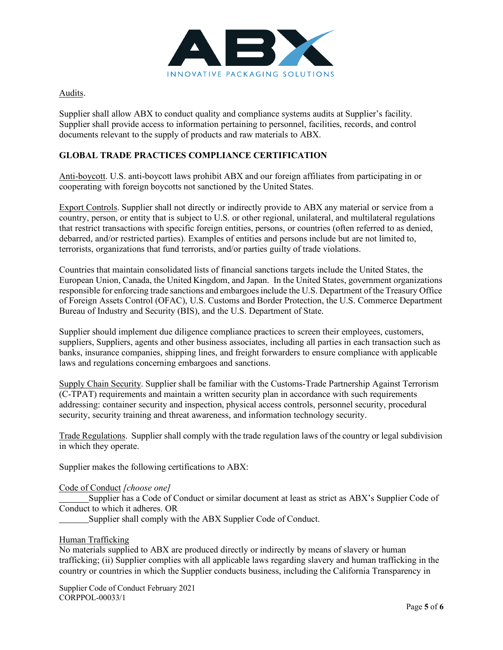

## Audits.

Supplier shall allow ABX to conduct quality and compliance systems audits at Supplier's facility. Supplier shall provide access to information pertaining to personnel, facilities, records, and control documents relevant to the supply of products and raw materials to ABX.

## **GLOBAL TRADE PRACTICES COMPLIANCE CERTIFICATION**

Anti-boycott. U.S. anti-boycott laws prohibit ABX and our foreign affiliates from participating in or cooperating with foreign boycotts not sanctioned by the United States.

Export Controls. Supplier shall not directly or indirectly provide to ABX any material or service from a country, person, or entity that is subject to U.S. or other regional, unilateral, and multilateral regulations that restrict transactions with specific foreign entities, persons, or countries (often referred to as denied, debarred, and/or restricted parties). Examples of entities and persons include but are not limited to, terrorists, organizations that fund terrorists, and/or parties guilty of trade violations.

Countries that maintain consolidated lists of financial sanctions targets include the United States, the European Union, Canada, the United Kingdom, and Japan. In the United States, government organizations responsible for enforcing trade sanctions and embargoes include the U.S. Department of the Treasury Office of Foreign Assets Control (OFAC), U.S. Customs and Border Protection, the U.S. Commerce Department Bureau of Industry and Security (BIS), and the U.S. Department of State.

Supplier should implement due diligence compliance practices to screen their employees, customers, suppliers, Suppliers, agents and other business associates, including all parties in each transaction such as banks, insurance companies, shipping lines, and freight forwarders to ensure compliance with applicable laws and regulations concerning embargoes and sanctions.

Supply Chain Security. Supplier shall be familiar with the Customs-Trade Partnership Against Terrorism (C-TPAT) requirements and maintain a written security plan in accordance with such requirements addressing: container security and inspection, physical access controls, personnel security, procedural security, security training and threat awareness, and information technology security.

Trade Regulations. Supplier shall comply with the trade regulation laws of the country or legal subdivision in which they operate.

Supplier makes the following certifications to ABX:

## Code of Conduct *[choose one]*

Supplier has a Code of Conduct or similar document at least as strict as ABX's Supplier Code of Conduct to which it adheres. OR

Supplier shall comply with the ABX Supplier Code of Conduct.

## Human Trafficking

No materials supplied to ABX are produced directly or indirectly by means of slavery or human trafficking; (ii) Supplier complies with all applicable laws regarding slavery and human trafficking in the country or countries in which the Supplier conducts business, including the California Transparency in

Supplier Code of Conduct February 2021 CORPPOL-00033/1